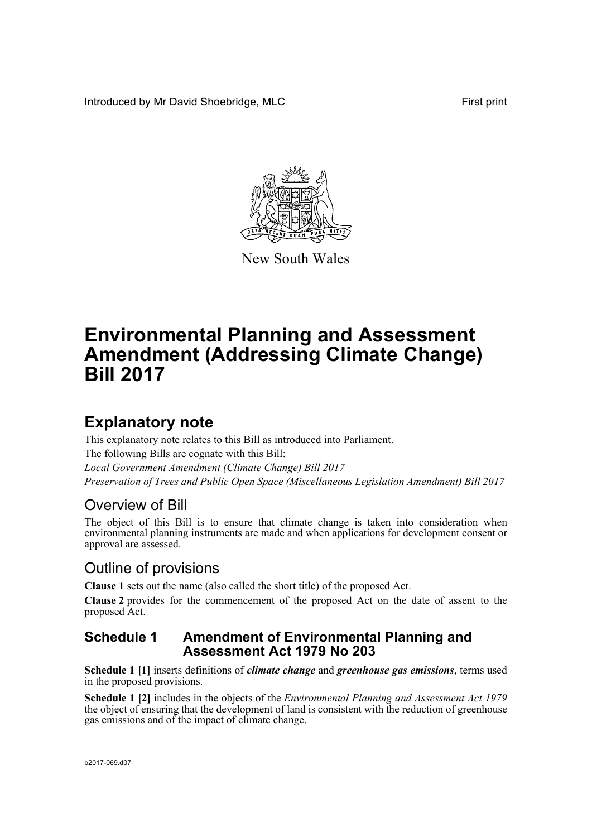Introduced by Mr David Shoebridge, MLC First print



New South Wales

# **Environmental Planning and Assessment Amendment (Addressing Climate Change) Bill 2017**

## **Explanatory note**

This explanatory note relates to this Bill as introduced into Parliament. The following Bills are cognate with this Bill: *Local Government Amendment (Climate Change) Bill 2017 Preservation of Trees and Public Open Space (Miscellaneous Legislation Amendment) Bill 2017*

## Overview of Bill

The object of this Bill is to ensure that climate change is taken into consideration when environmental planning instruments are made and when applications for development consent or approval are assessed.

## Outline of provisions

**Clause 1** sets out the name (also called the short title) of the proposed Act.

**Clause 2** provides for the commencement of the proposed Act on the date of assent to the proposed Act.

### **Schedule 1 Amendment of Environmental Planning and Assessment Act 1979 No 203**

**Schedule 1 [1]** inserts definitions of *climate change* and *greenhouse gas emissions*, terms used in the proposed provisions.

**Schedule 1 [2]** includes in the objects of the *Environmental Planning and Assessment Act 1979* the object of ensuring that the development of land is consistent with the reduction of greenhouse gas emissions and of the impact of climate change.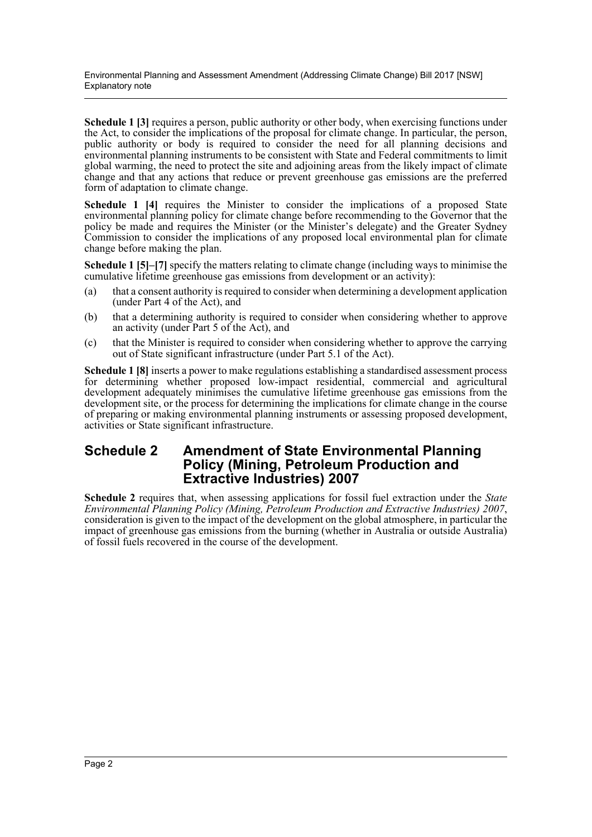Environmental Planning and Assessment Amendment (Addressing Climate Change) Bill 2017 [NSW] Explanatory note

**Schedule 1 [3]** requires a person, public authority or other body, when exercising functions under the Act, to consider the implications of the proposal for climate change. In particular, the person, public authority or body is required to consider the need for all planning decisions and environmental planning instruments to be consistent with State and Federal commitments to limit global warming, the need to protect the site and adjoining areas from the likely impact of climate change and that any actions that reduce or prevent greenhouse gas emissions are the preferred form of adaptation to climate change.

**Schedule 1 [4]** requires the Minister to consider the implications of a proposed State environmental planning policy for climate change before recommending to the Governor that the policy be made and requires the Minister (or the Minister's delegate) and the Greater Sydney Commission to consider the implications of any proposed local environmental plan for climate change before making the plan.

**Schedule 1 [5]–[7]** specify the matters relating to climate change (including ways to minimise the cumulative lifetime greenhouse gas emissions from development or an activity):

- (a) that a consent authority is required to consider when determining a development application (under Part 4 of the Act), and
- (b) that a determining authority is required to consider when considering whether to approve an activity (under Part 5 of the Act), and
- (c) that the Minister is required to consider when considering whether to approve the carrying out of State significant infrastructure (under Part 5.1 of the Act).

**Schedule 1 [8]** inserts a power to make regulations establishing a standardised assessment process for determining whether proposed low-impact residential, commercial and agricultural development adequately minimises the cumulative lifetime greenhouse gas emissions from the development site, or the process for determining the implications for climate change in the course of preparing or making environmental planning instruments or assessing proposed development, activities or State significant infrastructure.

### **Schedule 2 Amendment of State Environmental Planning Policy (Mining, Petroleum Production and Extractive Industries) 2007**

**Schedule 2** requires that, when assessing applications for fossil fuel extraction under the *State Environmental Planning Policy (Mining, Petroleum Production and Extractive Industries) 2007*, consideration is given to the impact of the development on the global atmosphere, in particular the impact of greenhouse gas emissions from the burning (whether in Australia or outside Australia) of fossil fuels recovered in the course of the development.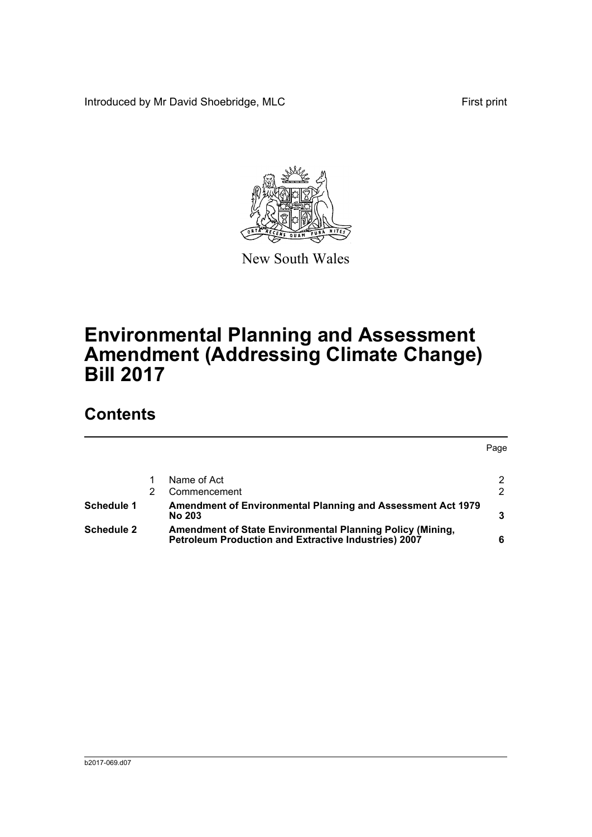Introduced by Mr David Shoebridge, MLC First print



New South Wales

# **Environmental Planning and Assessment Amendment (Addressing Climate Change) Bill 2017**

## **Contents**

Page [1 Name of Act 2](#page-4-0) [2 Commencement 2](#page-4-1) 2 **[Schedule 1 Amendment of Environmental Planning and Assessment Act 1979](#page-5-0)  [No 203 3](#page-5-0) [Schedule 2 Amendment of State Environmental Planning Policy \(Mining,](#page-8-0)  [Petroleum Production and Extractive Industries\) 2007 6](#page-8-0)**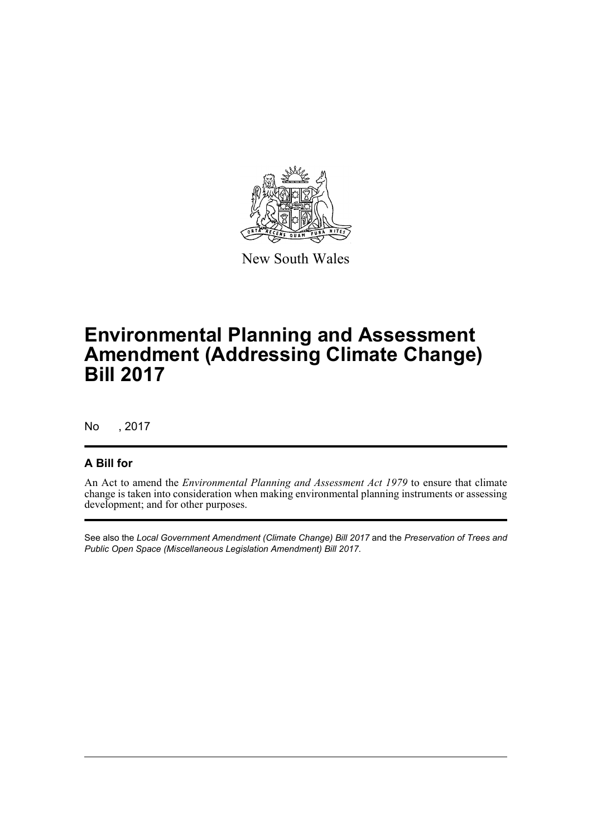

New South Wales

## **Environmental Planning and Assessment Amendment (Addressing Climate Change) Bill 2017**

No , 2017

### **A Bill for**

An Act to amend the *Environmental Planning and Assessment Act 1979* to ensure that climate change is taken into consideration when making environmental planning instruments or assessing development; and for other purposes.

See also the *Local Government Amendment (Climate Change) Bill 2017* and the *Preservation of Trees and Public Open Space (Miscellaneous Legislation Amendment) Bill 2017*.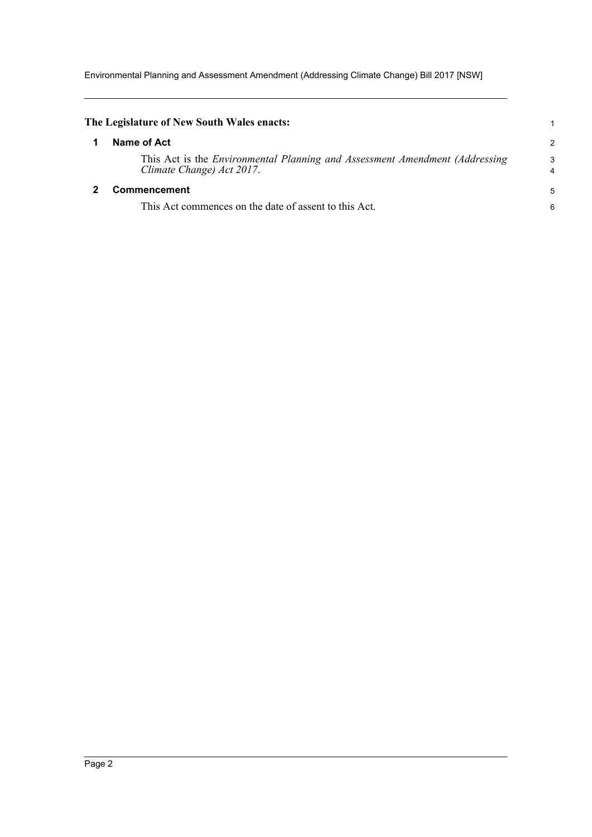Environmental Planning and Assessment Amendment (Addressing Climate Change) Bill 2017 [NSW]

<span id="page-4-1"></span><span id="page-4-0"></span>

| The Legislature of New South Wales enacts:                                                                      |                     |  |  |
|-----------------------------------------------------------------------------------------------------------------|---------------------|--|--|
| Name of Act                                                                                                     |                     |  |  |
| This Act is the <i>Environmental Planning and Assessment Amendment (Addressing</i><br>Climate Change) Act 2017. | 3<br>$\overline{4}$ |  |  |
| <b>Commencement</b>                                                                                             |                     |  |  |
| This Act commences on the date of assent to this Act.                                                           | 6                   |  |  |
|                                                                                                                 |                     |  |  |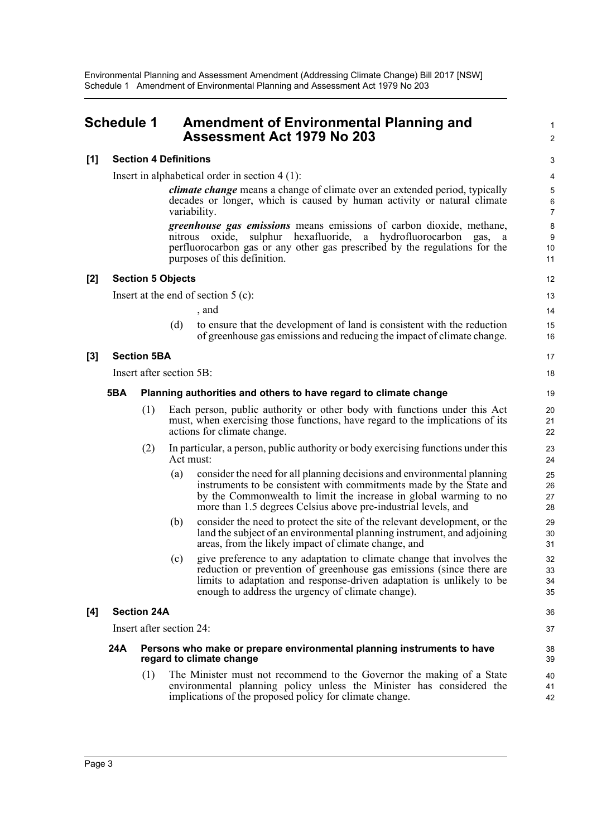### <span id="page-5-0"></span>**Schedule 1 Amendment of Environmental Planning and Assessment Act 1979 No 203**

#### **[1] Section 4 Definitions**

Insert in alphabetical order in section 4 (1):

*climate change* means a change of climate over an extended period, typically decades or longer, which is caused by human activity or natural climate variability.

1  $\mathcal{L}$ 

36 37

*greenhouse gas emissions* means emissions of carbon dioxide, methane, nitrous oxide, sulphur hexafluoride, a hydrofluorocarbon gas, a perfluorocarbon gas or any other gas prescribed by the regulations for the purposes of this definition.

#### **[2] Section 5 Objects**

Insert at the end of section 5 (c):

, and

(d) to ensure that the development of land is consistent with the reduction of greenhouse gas emissions and reducing the impact of climate change.

#### **[3] Section 5BA**

Insert after section 5B:

#### **5BA Planning authorities and others to have regard to climate change**

- (1) Each person, public authority or other body with functions under this Act must, when exercising those functions, have regard to the implications of its actions for climate change.
- (2) In particular, a person, public authority or body exercising functions under this Act must:
	- (a) consider the need for all planning decisions and environmental planning instruments to be consistent with commitments made by the State and by the Commonwealth to limit the increase in global warming to no more than 1.5 degrees Celsius above pre-industrial levels, and
	- (b) consider the need to protect the site of the relevant development, or the land the subject of an environmental planning instrument, and adjoining areas, from the likely impact of climate change, and
	- (c) give preference to any adaptation to climate change that involves the reduction or prevention of greenhouse gas emissions (since there are limits to adaptation and response-driven adaptation is unlikely to be enough to address the urgency of climate change).

#### **[4] Section 24A**

Insert after section 24:

#### **24A Persons who make or prepare environmental planning instruments to have regard to climate change**

(1) The Minister must not recommend to the Governor the making of a State environmental planning policy unless the Minister has considered the implications of the proposed policy for climate change.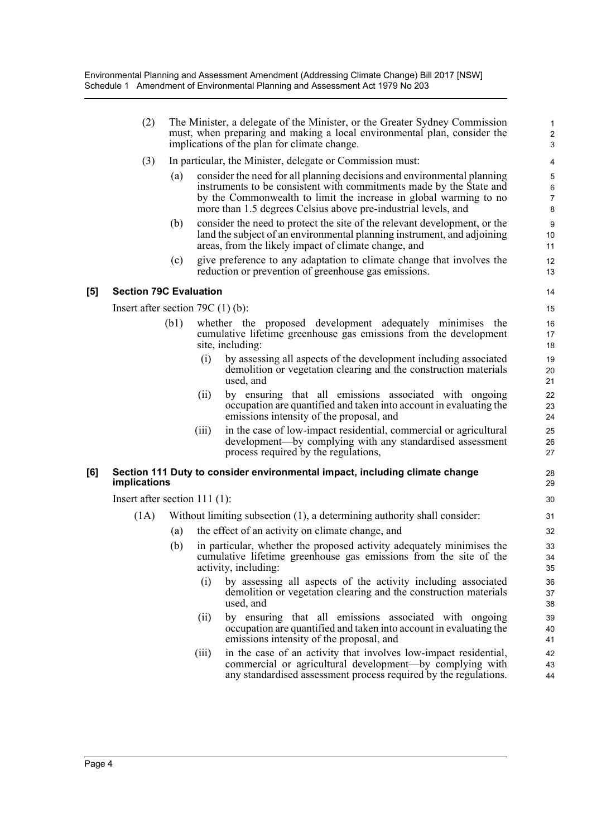|     | (2)                                 | The Minister, a delegate of the Minister, or the Greater Sydney Commission<br>must, when preparing and making a local environmental plan, consider the<br>implications of the plan for climate change. |                                                           |                                                                                                                                                                                                                                                                                       |                                                 |  |
|-----|-------------------------------------|--------------------------------------------------------------------------------------------------------------------------------------------------------------------------------------------------------|-----------------------------------------------------------|---------------------------------------------------------------------------------------------------------------------------------------------------------------------------------------------------------------------------------------------------------------------------------------|-------------------------------------------------|--|
|     | (3)                                 |                                                                                                                                                                                                        | In particular, the Minister, delegate or Commission must: |                                                                                                                                                                                                                                                                                       |                                                 |  |
|     |                                     | (a)                                                                                                                                                                                                    |                                                           | consider the need for all planning decisions and environmental planning<br>instruments to be consistent with commitments made by the State and<br>by the Commonwealth to limit the increase in global warming to no<br>more than 1.5 degrees Celsius above pre-industrial levels, and | $\mathbf 5$<br>$\,6\,$<br>$\boldsymbol{7}$<br>8 |  |
|     |                                     | (b)                                                                                                                                                                                                    |                                                           | consider the need to protect the site of the relevant development, or the<br>land the subject of an environmental planning instrument, and adjoining<br>areas, from the likely impact of climate change, and                                                                          | 9<br>10<br>11                                   |  |
|     |                                     | (c)                                                                                                                                                                                                    |                                                           | give preference to any adaptation to climate change that involves the<br>reduction or prevention of greenhouse gas emissions.                                                                                                                                                         | 12<br>13                                        |  |
| [5] | <b>Section 79C Evaluation</b>       |                                                                                                                                                                                                        |                                                           |                                                                                                                                                                                                                                                                                       |                                                 |  |
|     | Insert after section 79C $(1)$ (b): |                                                                                                                                                                                                        |                                                           |                                                                                                                                                                                                                                                                                       |                                                 |  |
|     |                                     | (b1)                                                                                                                                                                                                   |                                                           | whether the proposed development adequately minimises the<br>cumulative lifetime greenhouse gas emissions from the development<br>site, including:                                                                                                                                    | 16<br>17<br>18                                  |  |
|     |                                     |                                                                                                                                                                                                        | (i)                                                       | by assessing all aspects of the development including associated<br>demolition or vegetation clearing and the construction materials<br>used, and                                                                                                                                     | 19<br>20<br>21                                  |  |
|     |                                     |                                                                                                                                                                                                        | (ii)                                                      | by ensuring that all emissions associated with ongoing<br>occupation are quantified and taken into account in evaluating the<br>emissions intensity of the proposal, and                                                                                                              | 22<br>23<br>24                                  |  |
|     |                                     |                                                                                                                                                                                                        | (iii)                                                     | in the case of low-impact residential, commercial or agricultural<br>development—by complying with any standardised assessment<br>process required by the regulations,                                                                                                                | 25<br>26<br>27                                  |  |
| [6] | implications                        |                                                                                                                                                                                                        |                                                           | Section 111 Duty to consider environmental impact, including climate change                                                                                                                                                                                                           | 28<br>29                                        |  |
|     |                                     | Insert after section $111(1)$ :                                                                                                                                                                        |                                                           |                                                                                                                                                                                                                                                                                       |                                                 |  |
|     | (1A)                                | Without limiting subsection (1), a determining authority shall consider:                                                                                                                               |                                                           |                                                                                                                                                                                                                                                                                       | 31                                              |  |
|     |                                     | (a)                                                                                                                                                                                                    |                                                           | the effect of an activity on climate change, and                                                                                                                                                                                                                                      | 32                                              |  |
|     |                                     | (b)                                                                                                                                                                                                    |                                                           | in particular, whether the proposed activity adequately minimises the<br>cumulative lifetime greenhouse gas emissions from the site of the<br>activity, including:                                                                                                                    | 33<br>34<br>35                                  |  |
|     |                                     |                                                                                                                                                                                                        | (i)                                                       | by assessing all aspects of the activity including associated<br>demolition or vegetation clearing and the construction materials<br>used, and                                                                                                                                        | 36<br>37<br>38                                  |  |
|     |                                     |                                                                                                                                                                                                        | (11)                                                      | by ensuring that all emissions associated with ongoing<br>occupation are quantified and taken into account in evaluating the<br>emissions intensity of the proposal, and                                                                                                              | 39<br>40<br>41                                  |  |
|     |                                     |                                                                                                                                                                                                        | (111)                                                     | in the case of an activity that involves low-impact residential,<br>commercial or agricultural development—by complying with<br>any standardised assessment process required by the regulations.                                                                                      | 42<br>43<br>44                                  |  |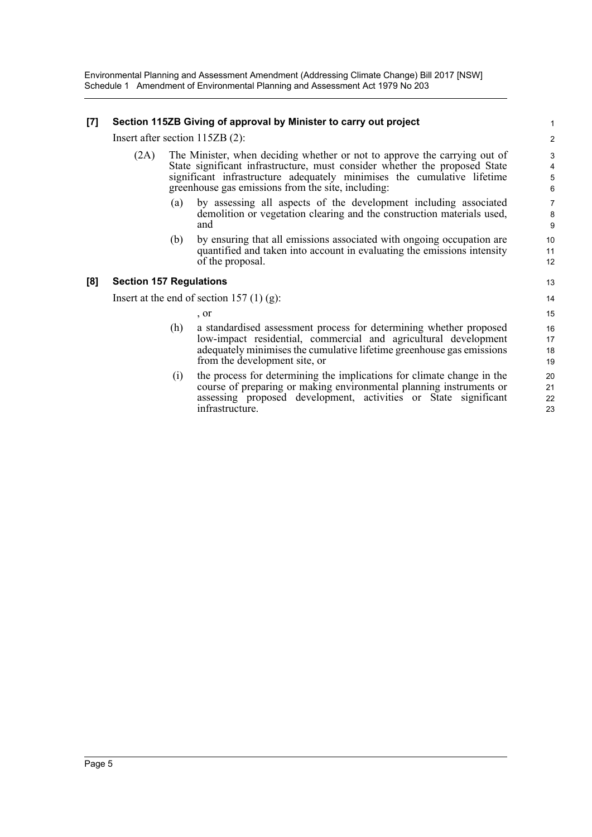Environmental Planning and Assessment Amendment (Addressing Climate Change) Bill 2017 [NSW] Schedule 1 Amendment of Environmental Planning and Assessment Act 1979 No 203

#### **[7] Section 115ZB Giving of approval by Minister to carry out project**

Insert after section 115ZB (2):

- (2A) The Minister, when deciding whether or not to approve the carrying out of State significant infrastructure, must consider whether the proposed State significant infrastructure adequately minimises the cumulative lifetime greenhouse gas emissions from the site, including:
	- (a) by assessing all aspects of the development including associated demolition or vegetation clearing and the construction materials used, and
	- (b) by ensuring that all emissions associated with ongoing occupation are quantified and taken into account in evaluating the emissions intensity of the proposal.

#### **[8] Section 157 Regulations**

Insert at the end of section  $157(1)(g)$ :

, or

- (h) a standardised assessment process for determining whether proposed low-impact residential, commercial and agricultural development adequately minimises the cumulative lifetime greenhouse gas emissions from the development site, or
- (i) the process for determining the implications for climate change in the course of preparing or making environmental planning instruments or assessing proposed development, activities or State significant infrastructure.
- 7 8 9 10 11 12 13 14 15 16 17 18 19 20 21

22 23